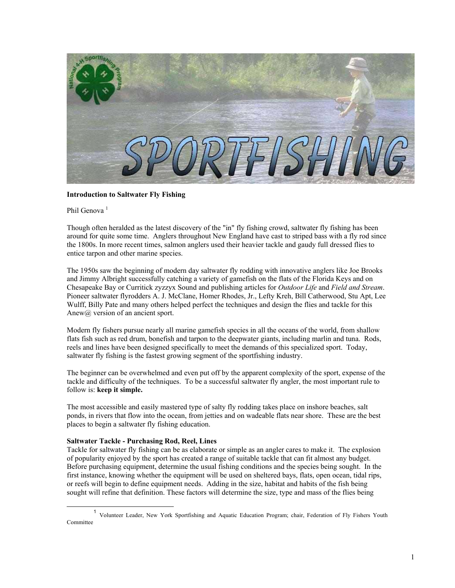

#### **Introduction to Saltwater Fly Fishing**

#### Phil Genova<sup>[1](#page-0-0)</sup>

Though often heralded as the latest discovery of the "in" fly fishing crowd, saltwater fly fishing has been around for quite some time. Anglers throughout New England have cast to striped bass with a fly rod since the 1800s. In more recent times, salmon anglers used their heavier tackle and gaudy full dressed flies to entice tarpon and other marine species.

The 1950s saw the beginning of modern day saltwater fly rodding with innovative anglers like Joe Brooks and Jimmy Albright successfully catching a variety of gamefish on the flats of the Florida Keys and on Chesapeake Bay or Curritick zyzzyx Sound and publishing articles for *Outdoor Life* and *Field and Stream*. Pioneer saltwater flyrodders A. J. McClane, Homer Rhodes, Jr., Lefty Kreh, Bill Catherwood, Stu Apt, Lee Wulff, Billy Pate and many others helped perfect the techniques and design the flies and tackle for this Anew $(a)$  version of an ancient sport.

Modern fly fishers pursue nearly all marine gamefish species in all the oceans of the world, from shallow flats fish such as red drum, bonefish and tarpon to the deepwater giants, including marlin and tuna. Rods, reels and lines have been designed specifically to meet the demands of this specialized sport. Today, saltwater fly fishing is the fastest growing segment of the sportfishing industry.

The beginner can be overwhelmed and even put off by the apparent complexity of the sport, expense of the tackle and difficulty of the techniques. To be a successful saltwater fly angler, the most important rule to follow is: **keep it simple.** 

The most accessible and easily mastered type of salty fly rodding takes place on inshore beaches, salt ponds, in rivers that flow into the ocean, from jetties and on wadeable flats near shore. These are the best places to begin a saltwater fly fishing education.

#### **Saltwater Tackle - Purchasing Rod, Reel, Lines**

Tackle for saltwater fly fishing can be as elaborate or simple as an angler cares to make it. The explosion of popularity enjoyed by the sport has created a range of suitable tackle that can fit almost any budget. Before purchasing equipment, determine the usual fishing conditions and the species being sought. In the first instance, knowing whether the equipment will be used on sheltered bays, flats, open ocean, tidal rips, or reefs will begin to define equipment needs. Adding in the size, habitat and habits of the fish being sought will refine that definition. These factors will determine the size, type and mass of the flies being

<span id="page-0-0"></span><sup>1</sup> Volunteer Leader, New York Sportfishing and Aquatic Education Program; chair, Federation of Fly Fishers Youth Committee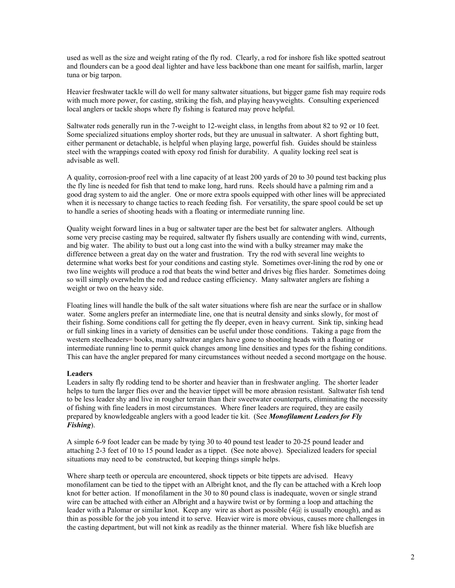used as well as the size and weight rating of the fly rod. Clearly, a rod for inshore fish like spotted seatrout and flounders can be a good deal lighter and have less backbone than one meant for sailfish, marlin, larger tuna or big tarpon.

Heavier freshwater tackle will do well for many saltwater situations, but bigger game fish may require rods with much more power, for casting, striking the fish, and playing heavyweights. Consulting experienced local anglers or tackle shops where fly fishing is featured may prove helpful.

Saltwater rods generally run in the 7-weight to 12-weight class, in lengths from about 82 to 92 or 10 feet. Some specialized situations employ shorter rods, but they are unusual in saltwater. A short fighting butt, either permanent or detachable, is helpful when playing large, powerful fish. Guides should be stainless steel with the wrappings coated with epoxy rod finish for durability. A quality locking reel seat is advisable as well.

A quality, corrosion-proof reel with a line capacity of at least 200 yards of 20 to 30 pound test backing plus the fly line is needed for fish that tend to make long, hard runs. Reels should have a palming rim and a good drag system to aid the angler. One or more extra spools equipped with other lines will be appreciated when it is necessary to change tactics to reach feeding fish. For versatility, the spare spool could be set up to handle a series of shooting heads with a floating or intermediate running line.

Quality weight forward lines in a bug or saltwater taper are the best bet for saltwater anglers. Although some very precise casting may be required, saltwater fly fishers usually are contending with wind, currents, and big water. The ability to bust out a long cast into the wind with a bulky streamer may make the difference between a great day on the water and frustration. Try the rod with several line weights to determine what works best for your conditions and casting style. Sometimes over-lining the rod by one or two line weights will produce a rod that beats the wind better and drives big flies harder. Sometimes doing so will simply overwhelm the rod and reduce casting efficiency. Many saltwater anglers are fishing a weight or two on the heavy side.

Floating lines will handle the bulk of the salt water situations where fish are near the surface or in shallow water. Some anglers prefer an intermediate line, one that is neutral density and sinks slowly, for most of their fishing. Some conditions call for getting the fly deeper, even in heavy current. Sink tip, sinking head or full sinking lines in a variety of densities can be useful under those conditions. Taking a page from the western steelheaders= books, many saltwater anglers have gone to shooting heads with a floating or intermediate running line to permit quick changes among line densities and types for the fishing conditions. This can have the angler prepared for many circumstances without needed a second mortgage on the house.

## **Leaders**

Leaders in salty fly rodding tend to be shorter and heavier than in freshwater angling. The shorter leader helps to turn the larger flies over and the heavier tippet will be more abrasion resistant. Saltwater fish tend to be less leader shy and live in rougher terrain than their sweetwater counterparts, eliminating the necessity of fishing with fine leaders in most circumstances. Where finer leaders are required, they are easily prepared by knowledgeable anglers with a good leader tie kit. (See *Monofilament Leaders for Fly Fishing*).

A simple 6-9 foot leader can be made by tying 30 to 40 pound test leader to 20-25 pound leader and attaching 2-3 feet of 10 to 15 pound leader as a tippet. (See note above). Specialized leaders for special situations may need to be constructed, but keeping things simple helps.

Where sharp teeth or opercula are encountered, shock tippets or bite tippets are advised. Heavy monofilament can be tied to the tippet with an Albright knot, and the fly can be attached with a Kreh loop knot for better action. If monofilament in the 30 to 80 pound class is inadequate, woven or single strand wire can be attached with either an Albright and a haywire twist or by forming a loop and attaching the leader with a Palomar or similar knot. Keep any wire as short as possible (4@ is usually enough), and as thin as possible for the job you intend it to serve. Heavier wire is more obvious, causes more challenges in the casting department, but will not kink as readily as the thinner material. Where fish like bluefish are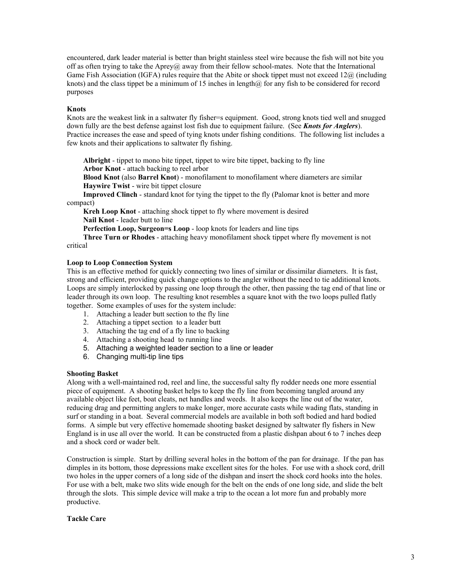encountered, dark leader material is better than bright stainless steel wire because the fish will not bite you off as often trying to take the Aprey@ away from their fellow school-mates. Note that the International Game Fish Association (IGFA) rules require that the Abite or shock tippet must not exceed  $12\omega$  (including knots) and the class tippet be a minimum of 15 inches in length $\omega$  for any fish to be considered for record purposes

## **Knots**

Knots are the weakest link in a saltwater fly fisher=s equipment. Good, strong knots tied well and snugged down fully are the best defense against lost fish due to equipment failure. (See *Knots for Anglers*). Practice increases the ease and speed of tying knots under fishing conditions. The following list includes a few knots and their applications to saltwater fly fishing.

**Albright** - tippet to mono bite tippet, tippet to wire bite tippet, backing to fly line

**Arbor Knot** - attach backing to reel arbor

**Blood Knot** (also **Barrel Knot**) - monofilament to monofilament where diameters are similar **Haywire Twist** - wire bit tippet closure

**Improved Clinch** - standard knot for tying the tippet to the fly (Palomar knot is better and more compact)

**Kreh Loop Knot** - attaching shock tippet to fly where movement is desired **Nail Knot** - leader butt to line

**Perfection Loop, Surgeon=s Loop** - loop knots for leaders and line tips

**Three Turn or Rhodes** - attaching heavy monofilament shock tippet where fly movement is not critical

# **Loop to Loop Connection System**

This is an effective method for quickly connecting two lines of similar or dissimilar diameters. It is fast, strong and efficient, providing quick change options to the angler without the need to tie additional knots. Loops are simply interlocked by passing one loop through the other, then passing the tag end of that line or leader through its own loop. The resulting knot resembles a square knot with the two loops pulled flatly together. Some examples of uses for the system include:

- 1. Attaching a leader butt section to the fly line
- 2. Attaching a tippet section to a leader butt
- 3. Attaching the tag end of a fly line to backing
- 4. Attaching a shooting head to running line
- 5. Attaching a weighted leader section to a line or leader
- 6. Changing multi-tip line tips

## **Shooting Basket**

Along with a well-maintained rod, reel and line, the successful salty fly rodder needs one more essential piece of equipment. A shooting basket helps to keep the fly line from becoming tangled around any available object like feet, boat cleats, net handles and weeds. It also keeps the line out of the water, reducing drag and permitting anglers to make longer, more accurate casts while wading flats, standing in surf or standing in a boat. Several commercial models are available in both soft bodied and hard bodied forms. A simple but very effective homemade shooting basket designed by saltwater fly fishers in New England is in use all over the world. It can be constructed from a plastic dishpan about 6 to 7 inches deep and a shock cord or wader belt.

Construction is simple. Start by drilling several holes in the bottom of the pan for drainage. If the pan has dimples in its bottom, those depressions make excellent sites for the holes. For use with a shock cord, drill two holes in the upper corners of a long side of the dishpan and insert the shock cord hooks into the holes. For use with a belt, make two slits wide enough for the belt on the ends of one long side, and slide the belt through the slots. This simple device will make a trip to the ocean a lot more fun and probably more productive.

## **Tackle Care**